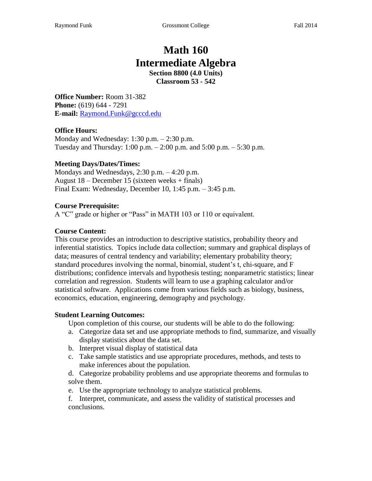# **Math 160 Intermediate Algebra**

**Section 8800 (4.0 Units) Classroom 53 - 542**

**Office Number:** Room 31-382 **Phone:** (619) 644 - 7291 **E-mail:** Raymond.Funk@gcccd.edu

#### **Office Hours:**

Monday and Wednesday: 1:30 p.m. – 2:30 p.m. Tuesday and Thursday:  $1:00 \text{ p.m.} - 2:00 \text{ p.m.}$  and  $5:00 \text{ p.m.} - 5:30 \text{ p.m.}$ 

#### **Meeting Days/Dates/Times:**

Mondays and Wednesdays, 2:30 p.m. – 4:20 p.m. August 18 – December 15 (sixteen weeks + finals) Final Exam: Wednesday, December 10, 1:45 p.m. – 3:45 p.m.

#### **Course Prerequisite:**

A "C" grade or higher or "Pass" in MATH 103 or 110 or equivalent.

#### **Course Content:**

This course provides an introduction to descriptive statistics, probability theory and inferential statistics. Topics include data collection; summary and graphical displays of data; measures of central tendency and variability; elementary probability theory; standard procedures involving the normal, binomial, student's t, chi-square, and F distributions; confidence intervals and hypothesis testing; nonparametric statistics; linear correlation and regression. Students will learn to use a graphing calculator and/or statistical software. Applications come from various fields such as biology, business, economics, education, engineering, demography and psychology.

#### **Student Learning Outcomes:**

Upon completion of this course, our students will be able to do the following:

- a. Categorize data set and use appropriate methods to find, summarize, and visually display statistics about the data set.
- b. Interpret visual display of statistical data
- c. Take sample statistics and use appropriate procedures, methods, and tests to make inferences about the population.
- d. Categorize probability problems and use appropriate theorems and formulas to solve them.
- e. Use the appropriate technology to analyze statistical problems.
- f. Interpret, communicate, and assess the validity of statistical processes and conclusions.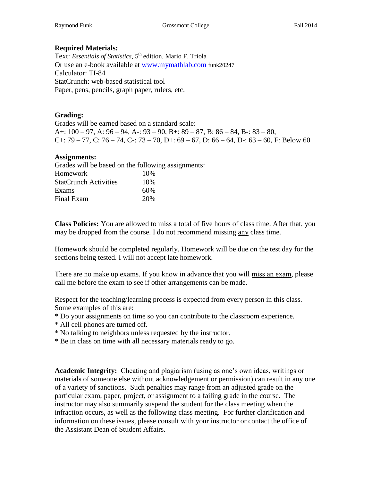#### **Required Materials:**

Text: *Essentials of Statistics*, 5<sup>th</sup> edition, Mario F. Triola Or use an e-book available at [www.mymathlab.com](http://www.mymathlab.com/) funk20247 Calculator: TI-84 StatCrunch: web-based statistical tool Paper, pens, pencils, graph paper, rulers, etc.

#### **Grading:**

Grades will be earned based on a standard scale: A+:  $100 - 97$ , A:  $96 - 94$ , A -:  $93 - 90$ , B +:  $89 - 87$ , B:  $86 - 84$ , B -:  $83 - 80$ , C+: 79 – 77, C: 76 – 74, C-: 73 – 70, D+: 69 – 67, D: 66 – 64, D-: 63 – 60, F: Below 60

#### **Assignments:**

Grades will be based on the following assignments: Homework 10% StatCrunch Activities 10% Exams 60% Final Exam 20%

**Class Policies:** You are allowed to miss a total of five hours of class time. After that, you may be dropped from the course. I do not recommend missing any class time.

Homework should be completed regularly. Homework will be due on the test day for the sections being tested. I will not accept late homework.

There are no make up exams. If you know in advance that you will miss an exam, please call me before the exam to see if other arrangements can be made.

Respect for the teaching/learning process is expected from every person in this class. Some examples of this are:

- \* Do your assignments on time so you can contribute to the classroom experience.
- \* All cell phones are turned off.
- \* No talking to neighbors unless requested by the instructor.
- \* Be in class on time with all necessary materials ready to go.

**Academic Integrity:** Cheating and plagiarism (using as one's own ideas, writings or materials of someone else without acknowledgement or permission) can result in any one of a variety of sanctions. Such penalties may range from an adjusted grade on the particular exam, paper, project, or assignment to a failing grade in the course. The instructor may also summarily suspend the student for the class meeting when the infraction occurs, as well as the following class meeting. For further clarification and information on these issues, please consult with your instructor or contact the office of the Assistant Dean of Student Affairs.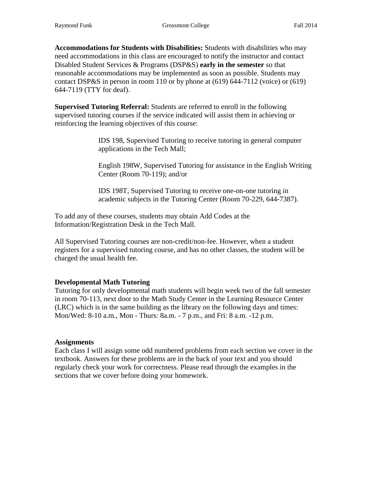**Accommodations for Students with Disabilities:** Students with disabilities who may need accommodations in this class are encouraged to notify the instructor and contact Disabled Student Services & Programs (DSP&S) **early in the semester** so that reasonable accommodations may be implemented as soon as possible. Students may contact DSP&S in person in room 110 or by phone at (619) 644-7112 (voice) or (619) 644-7119 (TTY for deaf).

**Supervised Tutoring Referral:** Students are referred to enroll in the following supervised tutoring courses if the service indicated will assist them in achieving or reinforcing the learning objectives of this course:

> IDS 198, Supervised Tutoring to receive tutoring in general computer applications in the Tech Mall;

English 198W, Supervised Tutoring for assistance in the English Writing Center (Room 70-119); and/or

IDS 198T, Supervised Tutoring to receive one-on-one tutoring in academic subjects in the Tutoring Center (Room 70-229, 644-7387).

To add any of these courses, students may obtain Add Codes at the Information/Registration Desk in the Tech Mall.

All Supervised Tutoring courses are non-credit/non-fee. However, when a student registers for a supervised tutoring course, and has no other classes, the student will be charged the usual health fee.

### **Developmental Math Tutoring**

Tutoring for only developmental math students will begin week two of the fall semester in room 70-113, next door to the Math Study Center in the Learning Resource Center (LRC) which is in the same building as the library on the following days and times: Mon/Wed: 8-10 a.m., Mon - Thurs: 8a.m. - 7 p.m., and Fri: 8 a.m. -12 p.m.

#### **Assignments**

Each class I will assign some odd numbered problems from each section we cover in the textbook. Answers for these problems are in the back of your text and you should regularly check your work for correctness. Please read through the examples in the sections that we cover before doing your homework.